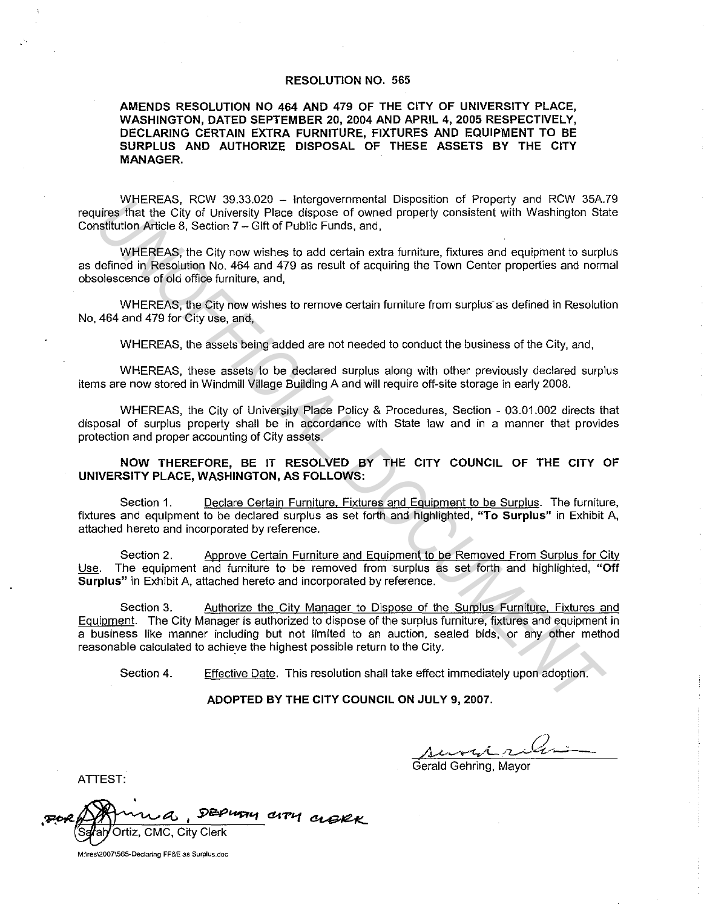#### **RESOLUTION NO. 565**

### **AMENDS RESOLUTION NO 464 AND 479 OF THE CITY OF UNIVERSITY PLACE, WASHINGTON, DATED SEPTEMBER 20, 2004 AND APRIL 4, 2005 RESPECTIVELY, DECLARING CERTAIN EXTRA FURNITURE, FIXTURES AND EQUIPMENT TO BE SURPLUS AND AUTHORIZE DISPOSAL OF THESE ASSETS BY THE CITY MANAGER.**

WHEREAS, RCW 39.33.020 - Intergovernmental Disposition of Property and RCW 35A.79 requires that the City of University Place dispose of owned property consistent with Washington State Constitution Article 8, Section 7 - Gift of Public Funds, and.

WHEREAS, the City now wishes to add certain extra furniture, fixtures and equipment to surplus as defined in Resolution No. 464 and 479 as result of acquiring the Town Center properties and normal obsolescence of old office furniture, and,

WHEREAS, the City now wishes to remove certain furniture from surplus as defined in Resolution No, 464 and 479 for City use, and,

WHEREAS, the assets being added are not needed to conduct the business of the City, and,

WHEREAS, these assets to be declared surplus along with other previously declared surplus items are now stored in Windmill Village Building A and will require off-site storage in early 2008.

WHEREAS, the City of University Place Policy & Procedures, Section - 03.01.002 directs that disposal of surplus property shall be in accordance with State law and in a manner that provides protection and proper accounting of City assets.

**NOW THEREFORE, BE IT RESOLVED BY THE CITY COUNCIL OF THE CITY OF UNIVERSITY PLACE, WASHINGTON, AS FOLLOWS:** 

Section **1.** Declare Certain Furniture, Fixtures and Equipment to be Surplus. The furniture, fixtures and equipment to be declared surplus as set forth and highlighted, **"To Surplus"** in Exhibit A, attached hereto and incorporated by reference.

Section 2. Approve Certain Furniture and Equipment to be Removed From Surplus for City Use. The equipment and furniture to be removed from surplus as set forth and highlighted, **"Off Surplus"** in Exhibit A, attached hereto and incorporated by reference.

Section 3. Authorize the City Manager to Dispose of the Surplus Furniture, Fixtures and Equipment. The City Manager is authorized to dispose of the surplus furniture, fixtures and equipment in a business like manner including but not limited to an auction, sealed bids, or any other method reasonable calculated to achieve the highest possible return to the City. WHEREAS, the assess to be declined to an active the strengthen the strength and RCW 35-4<br>tires that the CIV of University Place dispose of owned property consistent with Weshington Statisticion Article 8, Section 7 – Gilt

Section 4. Effective Date. This resolution shall take effect immediately upon adoption.

**ADOPTED BY THE CITY COUNCIL ON JULY 9, 2007.** 

relem

Gerald Gehring, Mayor

ah/Ortiz, CMC, City Clerk  $\boldsymbol{\mathcal{L}}$ **<sup>I</sup>!j>e,pWf:t"f**  ary acrex

**M:\res\2007\565-Declaring FF&E as Surplus.doc** 

ATTEST: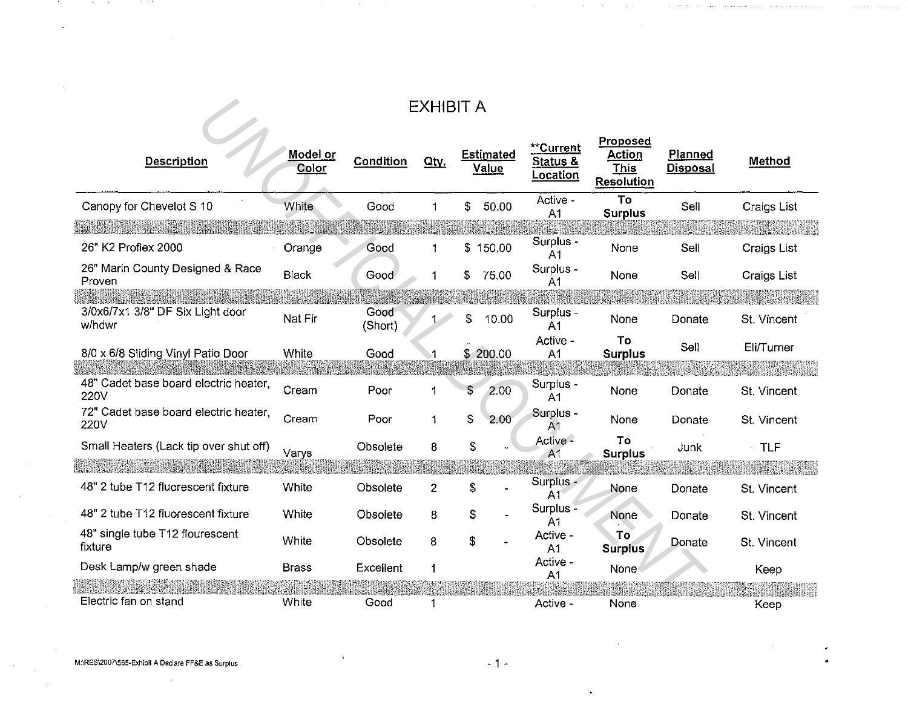# EXHIBIT A<br> **In Model or Condition Qtv, Estimated "Current Proposed Antion Description**<br> **10**<br> **ICON COOK COOK 1 5 50.00 Active. To be active of Description**<br>
Pred & Race Black Good 1 \$75.00 Supplys. None Sell<br>
Unit door Nh <u>**\*\*Current Proposed</u></u><br>Current Action</u> Model or Condition Qty. Estimated Status & Action Planned Method Color Condition Qty. Estimated Status & Action Planned Method Color Condition Oty. Estimated Status & Action Planned Method Color Condition Prime Resolution** White Good 1 \$ 50.00 Active - To Sell **Active** - To Sell **Additional Sell** 2 Craigs List a da antara da antara da antara da a in a shekarar ta 199 26" K2 Profiex 2000  $\begin{array}{cccc}\n\text{Orange} & \text{Good} & 1 & \text{$150.00}\n\end{array}$  None Craigs List 26" Marin County Designed & Race Black Good 1 \$ 75.00 Surplus - None Sell Craigs List Proven ansio ambulun museus ee 3/0x6/7x1 3/8" DF Six Light door Nat Fir Good 1 \$ 10.00 Surplus - None Donate St. Vincent w/hdwr (Short) A1 Active - **To** Sell Eli/Turner e ar canal an an an 48" Cadet base board electric heater, Cream Poor 1 \$ 2.00 Surplus - None Donate St. Vincent 220V 72" Cadet base board electric heater, Cream Poor 1 \$ 2.00 Surplus - None Donate St. Vincent 220V Small Heaters (Lack tip over shut off) varys Obsolete 8 \$ Active - To Junk TLF ama marawan a sa sa sa sana 48" 2 tube T12 fluorescent fixture White Obsolete 2 \$ - Surplus - None St. Vincent 48" 2 tube T12 fluorescent fixture White Obsolete 8 \$ - Surplus - None Donate St. Vincent<br>48" single tube T12 flourescent Military Charles Control of Active - To 48" single tube T12 flourescent White Obsolete 8 \$ - Active - To **Donate** St. Vincent **Fixture** 12 flows Active - Keep Electric fan on stand **1 Electric fan on stand** Keep

## **EXHIBIT A**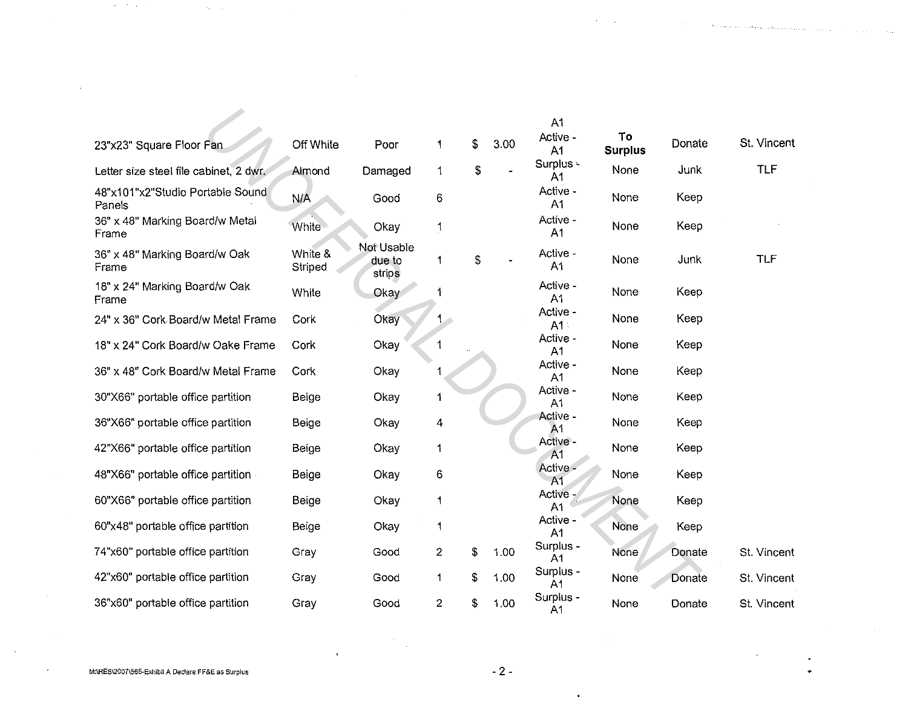|                                            |                    |                                |                |            | A1                          |                      |        |             |
|--------------------------------------------|--------------------|--------------------------------|----------------|------------|-----------------------------|----------------------|--------|-------------|
| 23"x23" Square Floor Fan                   | Off White          | Poor                           | 1              | \$<br>3.00 | Active -<br>A <sub>1</sub>  | To<br><b>Surplus</b> | Donate | St. Vincent |
| Letter size steel file cabinet, 2 dwr.     | Almond             | Damaged                        | 1              | \$         | Surplus -<br>A1             | None                 | Junk   | <b>TLF</b>  |
| 48"x101"x2"Studio Portable Sound<br>Panels | <b>N/A</b>         | Good                           | 6              |            | Active -<br>A <sub>1</sub>  | None                 | Keep   |             |
| 36" x 48" Marking Board/w Metal<br>Frame   | <b>White</b>       | Okay                           | $\mathbf{1}$   |            | Active -<br>A <sub>1</sub>  | None                 | Keep   |             |
| 36" x 48" Marking Board/w Oak<br>Frame     | White &<br>Striped | Not Usable<br>due to<br>strips | 1              | \$         | Active -<br>A <sub>1</sub>  | None                 | Junk   | <b>TLF</b>  |
| 18" x 24" Marking Board/w Oak<br>Frame     | White              | Okay                           |                |            | Active -<br>A <sub>1</sub>  | None                 | Keep   |             |
| 24" x 36" Cork Board/w Metal Frame         | Cork               | <b>Okay</b>                    |                |            | Active -<br>A1              | None                 | Keep   |             |
| 18" x 24" Cork Board/w Oake Frame          | Cork               | Okay                           |                |            | Active -<br>A <sub>1</sub>  | None                 | Keep   |             |
| 36" x 48" Cork Board/w Metal Frame         | Cork               | Okay                           |                |            | Active -<br>A <sub>1</sub>  | None                 | Keep   |             |
| 30"X66" portable office partition          | Beige              | Okay                           | 1              |            | Active -<br>A <sub>1</sub>  | None                 | Keep   |             |
| 36"X66" portable office partition          | Beige              | Okay                           | 4              |            | Active -<br>A1              | None                 | Keep   |             |
| 42"X66" portable office partition          | Beige              | Okay                           | 1              |            | Active -<br>A <sub>1</sub>  | None                 | Keep   |             |
| 48"X66" portable office partition          | Beige              | Okay                           | 6              |            | Active -<br>A1              | None                 | Keep   |             |
| 60"X66" portable office partition          | Beige              | Okay                           | 1              |            | Active<br>A1                | None                 | Keep   |             |
| 60"x48" portable office partition          | Beige              | Okay                           | 1              |            | Active -<br>A1              | None                 | Keep   |             |
| 74"x60" portable office partition          | Gray               | Good                           | $\overline{2}$ | \$<br>1.00 | Surplus -<br>A <sub>1</sub> | None                 | Donate | St. Vincent |
| 42"x60" portable office partition          | Gray               | Good                           | 1              | \$<br>1.00 | Surplus -<br>A1             | None                 | Donate | St. Vincent |
| 36"x60" portable office partition          | Gray               | Good                           | $\overline{2}$ | \$<br>1.00 | Surplus -<br>A1             | None                 | Donate | St. Vincent |

 $\mathbf{u}^{\prime}$ 

 $\alpha$  ,  $\beta$  ,  $\beta$ 

 $\delta \phi$  , can be considered as a respectively.

٠

 $\mathcal{L}^{\mathcal{A}}$ 

n.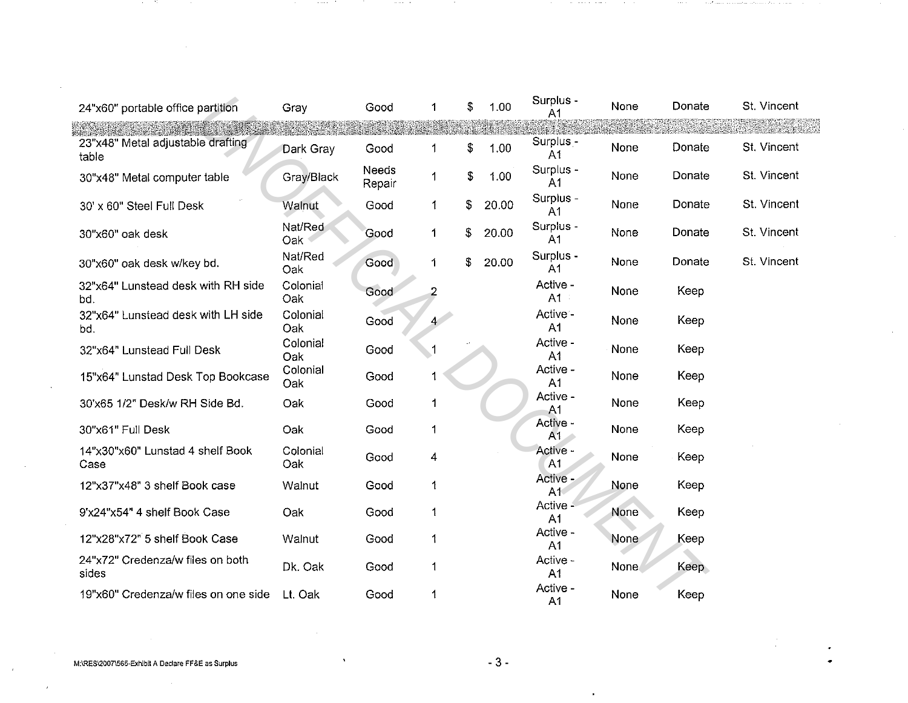| 24"x60" portable office partition          | Gray            | Good                   |   | 1.00        | Surplus -<br>A1             | None  | Donate | St. Vincent |
|--------------------------------------------|-----------------|------------------------|---|-------------|-----------------------------|-------|--------|-------------|
|                                            |                 |                        |   |             |                             |       |        |             |
| 23"x48" Metal adjustable drafting<br>table | Dark Gray       | Good                   | 1 | \$<br>1.00  | Surplus -<br>A1             | None  | Donate | St. Vincent |
| 30"x48" Metal computer table               | Gray/Black      | <b>Needs</b><br>Repair | 1 | \$<br>1.00  | Surplus -<br>A <sub>1</sub> | None  | Donate | St. Vincent |
| 30' x 60" Steel Full Desk                  | Walnut          | Good                   | 1 | \$<br>20.00 | Surplus -<br>A1             | None  | Donate | St. Vincent |
| 30"x60" oak desk                           | Nat/Red<br>Oak  | Good                   | 1 | \$<br>20.00 | Surplus -<br>А1             | None  | Donate | St. Vincent |
| 30"x60" oak desk w/key bd.                 | Nat/Red<br>Oak  | Good                   | 1 | \$<br>20.00 | Surplus -<br>A <sub>1</sub> | None  | Donate | St. Vincent |
| 32"x64" Lunstead desk with RH side<br>bd.  | Colonial<br>Oak | Good                   | 2 |             | Active -<br>$At =$          | None  | Keep   |             |
| 32"x64" Lunstead desk with LH side<br>bd.  | Colonial<br>Oak | Good                   | 4 |             | Active -<br>A1              | None  | Keep   |             |
| 32"x64" Lunstead Full Desk                 | Colonial<br>Oak | Good                   | 1 |             | Active -<br>A <sub>1</sub>  | None  | Keep   |             |
| 15"x64" Lunstad Desk Top Bookcase          | Colonial<br>Oak | Good                   |   |             | Active -<br>A <sub>1</sub>  | None  | Keep   |             |
| 30'x65 1/2" Desk/w RH Side Bd.             | Oak             | Good                   | 1 |             | Active -<br>A1              | None  | Keep   |             |
| 30"x61" Full Desk                          | Oak             | Good                   | 1 |             | Active -<br>A <sub>1</sub>  | None  | Keep   |             |
| 14"x30"x60" Lunstad 4 shelf Book<br>Case   | Colonial<br>Oak | Good                   | 4 |             | Active -<br>A1              | None  | Keep   |             |
| 12"x37"x48" 3 shelf Book case              | Walnut          | Good                   | 1 |             | Active -<br>A <sup>1</sup>  | None  | Keep   |             |
| 9'x24"x54" 4 shelf Book Case               | Oak             | Good                   | 1 |             | Active -<br>A <sub>1</sub>  | None  | Keep   |             |
| 12"x28"x72" 5 shelf Book Case              | Walnut          | Good                   | 1 |             | Active -<br>A1              | None  | Keep   |             |
| 24"x72" Credenza/w files on both<br>sides  | Dk. Oak         | Good                   | 1 |             | Active -<br>A1              | None. | Keep   |             |
| 19"x60" Credenza/w files on one side       | Lt. Oak         | Good                   | 1 |             | Active -<br>A <sub>1</sub>  | None  | Keep   |             |

÷.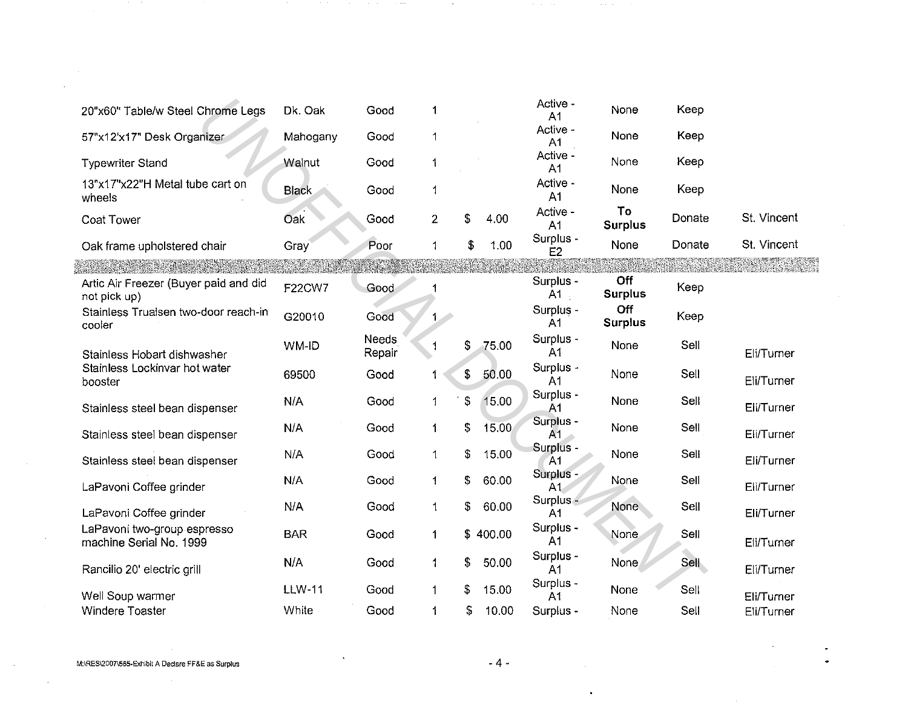| 20"x60" Table/w Steel Chrome Legs                      | Dk. Oak       | Good             | 1              |                |        | Active -<br>A <sub>1</sub>  | None                  | Keep   |             |
|--------------------------------------------------------|---------------|------------------|----------------|----------------|--------|-----------------------------|-----------------------|--------|-------------|
| 57"x12'x17" Desk Organizer                             | Mahogany      | Good             | 1              |                |        | Active -<br>A1              | None                  | Keep   |             |
| <b>Typewriter Stand</b>                                | Walnut        | Good             | 1              |                |        | Active -<br>A <sub>1</sub>  | None                  | Keep   |             |
| 13"x17"x22"H Metal tube cart on<br>wheels              | <b>Black</b>  | Good             | 1              |                |        | Active -<br>A1              | None                  | Keep   |             |
| <b>Coat Tower</b>                                      | Oak           | Good             | $\overline{c}$ | \$             | 4.00   | Active -<br>A <sub>1</sub>  | To<br><b>Surplus</b>  | Donate | St. Vincent |
| Oak frame upholstered chair                            | Gray          | Poor             | 1              | \$             | 1.00   | Surplus -<br>E2             | None                  | Donate | St. Vincent |
| DE CARDEE E ARTE E ARTE E ETAD                         |               | en.<br>Rillingen |                |                |        |                             |                       |        |             |
| Artic Air Freezer (Buyer paid and did<br>not pick up)  | <b>F22CW7</b> | Good             |                |                |        | Surplus -<br>A1             | Off<br><b>Surplus</b> | Keep   |             |
| Stainless Trualsen two-door reach-in<br>cooler         | G20010        | Good             |                |                |        | Surplus -<br>A <sub>1</sub> | Off<br><b>Surplus</b> | Keep   |             |
| Stainless Hobart dishwasher                            | WM-ID         | Needs<br>Repair  | 1              | \$             | 75.00  | Surplus -<br>A <sub>1</sub> | None                  | Sell   | Eli/Turner  |
| Stainless Lockinvar hot water<br>booster               | 69500         | Good             | 1              | $\mathfrak{F}$ | 50.00  | Surplus -<br>A1             | None                  | Sell   | Eli/Turner  |
| Stainless steel bean dispenser                         | N/A           | Good             | 1              | \$             | 15.00  | Surplus -<br>A1             | None                  | Sell   | Eli/Turner  |
| Stainless steel bean dispenser                         | N/A           | Good             | 1              | \$             | 15.00  | Surplus -<br>Α1             | None                  | Sell   | Eli/Turner  |
| Stainless steel bean dispenser                         | N/A           | Good             | 1              | \$             | 15.00  | Surplus -<br>A <sub>1</sub> | None                  | Sell   | Eli/Turner  |
| LaPavoni Coffee grinder                                | N/A           | Good             | 1              | \$             | 60.00  | Surplus -<br>Α1             | None                  | Sell   | Eli/Turner  |
| LaPavoni Coffee grinder                                | N/A           | Good             | 1              | \$             | 60.00  | Surplus -<br>A1             | None                  | Sell   | Eli/Turner  |
| LaPavoni two-group espresso<br>machine Serial No. 1999 | <b>BAR</b>    | Good             | 1              | \$             | 400.00 | Surplus -<br>A <sub>1</sub> | None                  | Sell   | Eli/Turner  |
| Rancilio 20' electric grill                            | N/A           | Good             | 1              | \$             | 50.00  | Surplus -<br>A <sub>1</sub> | None                  | Sell   | Eli/Turner  |
| Well Soup warmer                                       | <b>LLW-11</b> | Good             | 1              | \$             | 15.00  | Surplus -<br>A <sub>1</sub> | None                  | Sell   | Eli/Turner  |
| Windere Toaster                                        | White         | Good             | 1              | \$             | 10.00  | Surplus -                   | None                  | Sell   | Eli/Turner  |

 $\sim$ 

 $\sim$ 

 $\ddot{\phantom{a}}$ 

 $\sim$   $\sigma$ 

 $\bullet$ 

 $\sim$  $\bullet$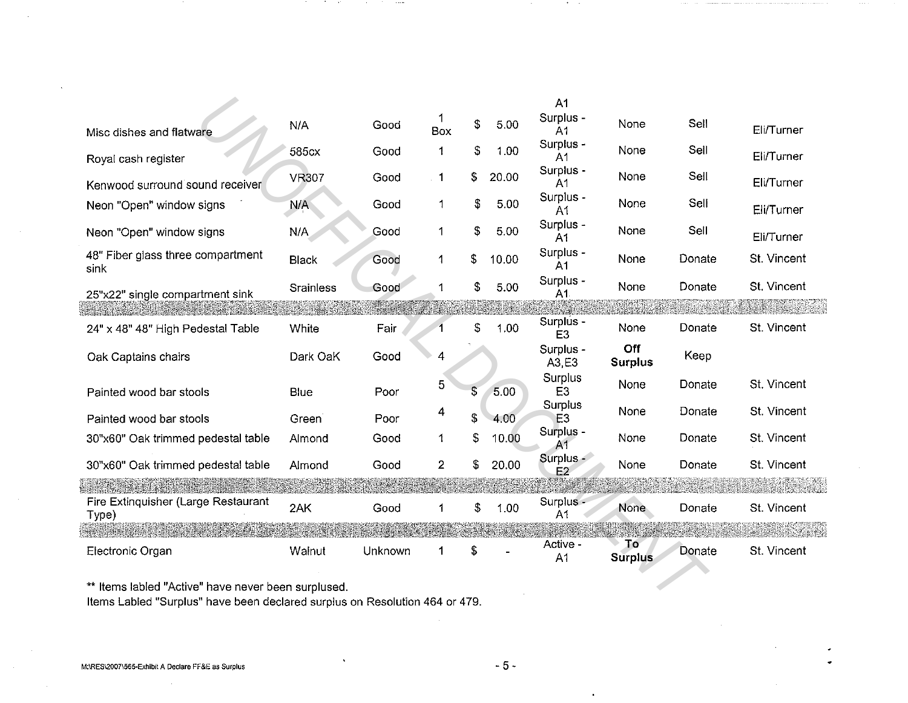|                                                                                                                                                                                                                                  |              |         |                            |    |       | A <sub>1</sub>              |                       |        |                |  |  |
|----------------------------------------------------------------------------------------------------------------------------------------------------------------------------------------------------------------------------------|--------------|---------|----------------------------|----|-------|-----------------------------|-----------------------|--------|----------------|--|--|
| Misc dishes and flatware                                                                                                                                                                                                         | N/A          | Good    | Box                        | \$ | 5.00  | Surplus -<br>A1             | None                  | Sell   | Eli/Turner     |  |  |
| Royal cash register                                                                                                                                                                                                              | 585cx        | Good    | 1                          | \$ | 1.00  | Surplus -<br>Α1             | None                  | Sell   | Eli/Turner     |  |  |
| Kenwood surround sound receiver                                                                                                                                                                                                  | <b>VR307</b> | Good    | $\overline{\phantom{0}}$ 1 | \$ | 20.00 | Surplus -<br>A1             | None                  | Sell   | Eli/Turner     |  |  |
| Neon "Open" window signs                                                                                                                                                                                                         | N/A          | Good    | 1                          | \$ | 5.00  | Surplus -<br>A <sub>1</sub> | None                  | Sell   | Eli/Turner     |  |  |
| Neon "Open" window signs                                                                                                                                                                                                         | N/A          | Good    | 1                          | \$ | 5.00  | Surplus -<br>A1             | None                  | Sell   | Eli/Turner     |  |  |
| 48" Fiber glass three compartment<br>sink                                                                                                                                                                                        | <b>Black</b> | Good    | 1                          | \$ | 10.00 | Surplus -<br>A1             | None                  | Donate | St. Vincent    |  |  |
| 25"x22" single compartment sink                                                                                                                                                                                                  | Srainless    | Good    |                            | \$ | 5.00  | Surplus -<br>A1             | None                  | Donate | St. Vincent    |  |  |
| a Para Menteri di Caracteri dell'India della Caracteri della Caracteri della Caracteri della Caracteri della C<br>1976 della Caracteri della Caracteri della Caracteri della Caracteri della Caracteri della Caracteri della Car |              |         |                            |    |       |                             |                       |        |                |  |  |
| 24" x 48" 48" High Pedestal Table                                                                                                                                                                                                | White        | Fair    |                            | S  | 1.00  | Surplus -<br>E3             | None                  | Donate | St. Vincent    |  |  |
| Oak Captains chairs                                                                                                                                                                                                              | Dark OaK     | Good    | 4                          |    |       | Surplus -<br>A3,E3          | Off<br><b>Surplus</b> | Keep   |                |  |  |
| Painted wood bar stools                                                                                                                                                                                                          | Blue         | Poor    | 5                          | \$ | 5.00  | Surplus<br>E <sub>3</sub>   | None                  | Donate | St. Vincent    |  |  |
| Painted wood bar stools                                                                                                                                                                                                          | Green        | Poor    | 4                          | \$ | 4.00  | Surplus<br>E3               | None                  | Donate | St. Vincent    |  |  |
| 30"x60" Oak trimmed pedestal table                                                                                                                                                                                               | Almond       | Good    | 1                          | \$ | 10.00 | Surplus -                   | None                  | Donate | St. Vincent    |  |  |
| 30"x60" Oak trimmed pedestal table                                                                                                                                                                                               | Almond       | Good    | $\overline{2}$             | \$ | 20.00 | Surplus -<br>E2             | None                  | Donate | St. Vincent    |  |  |
|                                                                                                                                                                                                                                  |              |         |                            |    |       |                             |                       |        | March Kreening |  |  |
| Fire Extinquisher (Large Restaurant<br>Type)                                                                                                                                                                                     | 2AK          | Good    | 1                          | \$ | 1.00  | Surplus -<br>A1             | None                  | Donate | St. Vincent    |  |  |
|                                                                                                                                                                                                                                  |              |         |                            |    |       |                             |                       |        |                |  |  |
| Electronic Organ                                                                                                                                                                                                                 | Walnut       | Unknown | 1                          | \$ |       | Active -<br>A <sub>1</sub>  | Тo<br><b>Surplus</b>  | Donate | St. Vincent    |  |  |
| ** Items labled "Active" have never been surplused.<br>Items Labled "Surplus" have been declared surplus on Resolution 464 or 479.                                                                                               |              |         |                            |    |       |                             |                       |        |                |  |  |

Items Labled "Surplus" have been declared surplus on Resolution 464 or 479.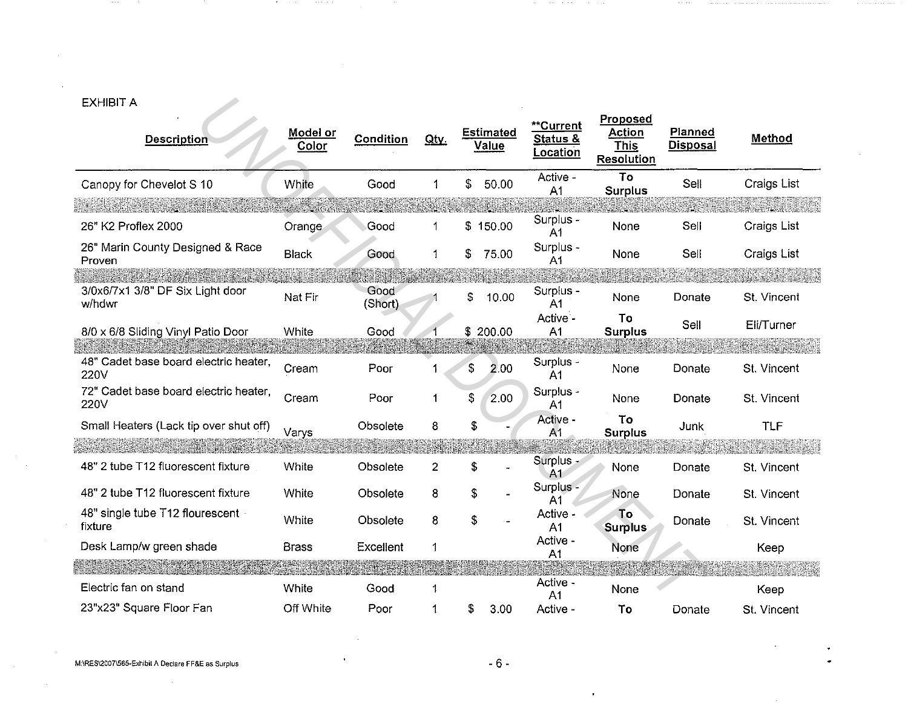### EXHIBIT A

. . . . .

| <b>EXHIBIT A</b>                                     |                   |                   |                |    |                           |                                   |                                          |                            |              |
|------------------------------------------------------|-------------------|-------------------|----------------|----|---------------------------|-----------------------------------|------------------------------------------|----------------------------|--------------|
| <b>Description</b>                                   | Model or<br>Color | <b>Condition</b>  | Q <sub>1</sub> |    | <b>Estimated</b><br>Value | **Current<br>Status &<br>Location | Proposed<br>Action<br>This<br>Resolution | Planned<br><b>Disposal</b> | Method       |
| Canopy for Chevelot S 10                             | White             | Good              | 1              | \$ | 50.00                     | Active -<br>A <sub>1</sub>        | To<br><b>Surplus</b>                     | Sell                       | Craigs List  |
| <u> Maria Antonio de Maria</u>                       |                   |                   |                |    |                           |                                   |                                          |                            | ana ang pang |
| 26" K2 Proflex 2000                                  | Orange            | Good              |                | \$ | 150.00                    | Surplus -<br>Α1                   | None                                     | Sell                       | Craigs List  |
| 26" Marin County Designed & Race<br>Proven           | <b>Black</b>      | Good              | 1              | \$ | 75.00                     | Surplus -<br>A1                   | None                                     | Sell                       | Craigs List  |
| 3/0x6/7x1 3/8" DF Six Light door                     |                   | Good <sup>-</sup> |                |    |                           | Surplus -                         |                                          |                            |              |
| w/hdwr                                               | Nat Fir           | (Short)           |                | S  | 10.00                     | A1                                | None                                     | Donate                     | St. Vincent  |
| 8/0 x 6/8 Sliding Vinyl Patio Door                   | White             | Good              |                |    | \$200.00                  | Active -<br>A <sub>1</sub>        | To<br><b>Surplus</b>                     | Sell                       | Eli/Turner   |
|                                                      |                   |                   |                |    |                           |                                   |                                          |                            |              |
| 48" Cadet base board electric heater,<br><b>220V</b> | Cream             | Poor              | 1              | \$ | 2.00                      | Surplus -<br>A1                   | None                                     | Donate                     | St. Vincent  |
| 72" Cadet base board electric heater,<br>220V        | Cream             | Poor              | 1              | \$ | 2.00                      | Surplus -<br>A1                   | None                                     | Donate                     | St. Vincent  |
| Small Heaters (Lack tip over shut off)               | Varys             | Obsolete          | 8              | \$ |                           | Active -<br>A <sub>1</sub>        | To<br><b>Surplus</b>                     | Junk                       | <b>TLF</b>   |
|                                                      |                   |                   |                |    |                           |                                   |                                          |                            |              |
| 48" 2 tube T12 fluorescent fixture                   | White             | Obsolete          | 2              | \$ |                           | Surplus -<br>A1                   | None                                     | Donate                     | St. Vincent  |
| 48" 2 tube T12 fluorescent fixture                   | White             | Obsolete          | 8              | \$ |                           | Surplus -<br>A1                   | None                                     | Donate                     | St. Vincent  |
| 48" single tube T12 flourescent<br>fixture           | White             | Obsolete          | 8              | \$ |                           | Active<br>A <sub>1</sub>          | To<br><b>Surplus</b>                     | Donate                     | St. Vincent  |
| Desk Lamp/w green shade                              | <b>Brass</b>      | <b>Excellent</b>  | 1              |    |                           | Active -<br>A1                    | None                                     |                            | Keep         |
|                                                      |                   |                   |                |    |                           |                                   |                                          |                            |              |
| Electric fan on stand                                | White             | Good              |                |    |                           | Active -<br>A1                    | None                                     |                            | Keep         |
| 23"x23" Square Floor Fan                             | Off White         | Poor              | 1              | S  | 3.00                      | Active -                          | To                                       | Donate                     | St. Vincent  |

. . . . . .

 $\sim$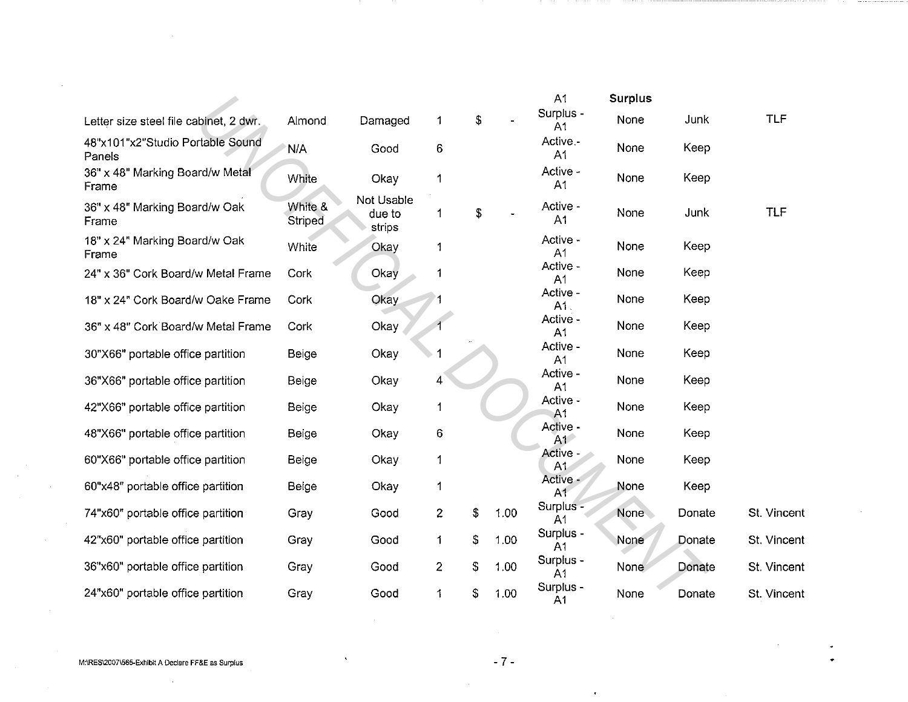|                                            |                    |                                |                |            | A1                          | <b>Surplus</b> |        |             |
|--------------------------------------------|--------------------|--------------------------------|----------------|------------|-----------------------------|----------------|--------|-------------|
| Letter size steel file cabinet, 2 dwr.     | Almond             | Damaged                        | 1              | \$         | Surplus -<br>A1             | None           | Junk   | TLF         |
| 48"x101"x2"Studio Portable Sound<br>Panels | N/A                | Good                           | 6              |            | Active.-<br>A1              | None           | Keep   |             |
| 36" x 48" Marking Board/w Metal<br>Frame   | White              | Okay                           | 1              |            | Active -<br>A <sub>1</sub>  | None           | Keep   |             |
| 36" x 48" Marking Board/w Oak<br>Frame     | White &<br>Striped | Not Usable<br>due to<br>strips | 1              | \$         | Active -<br>A1              | None           | Junk   | <b>TLF</b>  |
| 18" x 24" Marking Board/w Oak<br>Frame     | White              | Okay                           | 1              |            | Active -<br>A1              | None           | Keep   |             |
| 24" x 36" Cork Board/w Metal Frame         | Cork               | Okay                           |                |            | Active -<br>A <sub>1</sub>  | None           | Keep   |             |
| 18" x 24" Cork Board/w Oake Frame          | Cork               | Okay                           |                |            | Active -<br>A1              | None           | Keep   |             |
| 36" x 48" Cork Board/w Metal Frame         | Cork               | Okay                           |                |            | Active -<br>A1              | None           | Keep   |             |
| 30"X66" portable office partition          | <b>Beige</b>       | Okay                           |                |            | Active -<br>A1              | None           | Keep   |             |
| 36"X66" portable office partition          | Beige              | Okay                           | 4              |            | Active -<br>A1              | None           | Keep   |             |
| 42"X66" portable office partition          | Beige              | Okay                           | 1              |            | Active -<br>A1              | None           | Keep   |             |
| 48"X66" portable office partition          | Beige              | Okay                           | 6              |            | Active -<br>A1              | None           | Keep   |             |
| 60"X66" portable office partition          | Beige              | Okay                           | 1              |            | Active -<br>A1              | None           | Keep   |             |
| 60"x48" portable office partition          | Beige              | Okay                           | 1              |            | Active -<br>A <sub>1</sub>  | None           | Keep   |             |
| 74"x60" portable office partition          | Gray               | Good                           | 2              | \$<br>1.00 | Surplus -<br>A1             | <b>None</b>    | Donate | St. Vincent |
| 42"x60" portable office partition          | Gray               | Good                           | 1              | \$<br>1.00 | Surplus -<br>A1             | None           | Donate | St. Vincent |
| 36"x60" portable office partition          | Gray               | Good                           | $\overline{c}$ | \$<br>1.00 | Surplus -<br>A <sub>1</sub> | None           | Donate | St. Vincent |
| 24"x60" portable office partition          | Gray               | Good                           | 1              | \$<br>1.00 | Surplus -<br>A1             | None           | Donate | St. Vincent |

 $\bullet$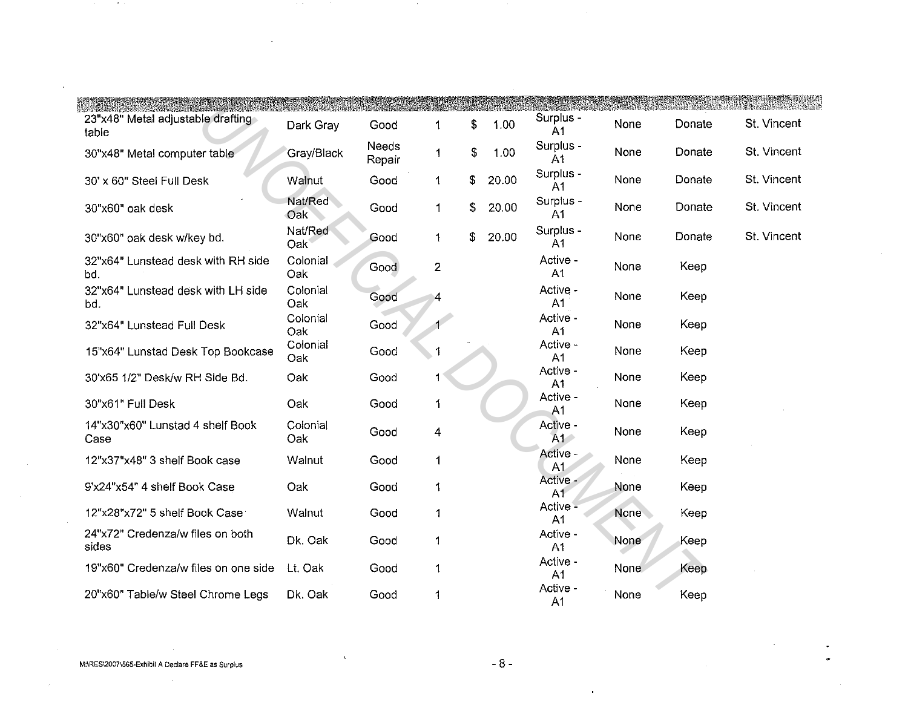| 23"x48" Metal adjustable drafting<br>table | Dark Gray                   | Good                   | 1              | \$<br>1.00  | Surplus -<br>A1            | None | Donate | St. Vincent |
|--------------------------------------------|-----------------------------|------------------------|----------------|-------------|----------------------------|------|--------|-------------|
| 30"x48" Metal computer table               | Gray/Black                  | <b>Needs</b><br>Repair | 1              | \$<br>1.00  | Surplus -<br>A1            | None | Donate | St. Vincent |
| 30' x 60" Steel Full Desk                  | Walnut                      | Good                   | 1.             | \$<br>20.00 | Surplus -<br>A1            | None | Donate | St. Vincent |
| 30"x60" oak desk                           | Nat/Red<br>Oak              | Good                   | 1              | \$<br>20.00 | Surplus -<br>A1            | None | Donate | St. Vincent |
| 30"x60" oak desk w/key bd.                 | Nat/Red<br>Oak <sup>®</sup> | Good                   | 1              | \$<br>20.00 | Surplus -<br>A1            | None | Donate | St. Vincent |
| 32"x64" Lunstead desk with RH side<br>bd.  | Colonial<br>Oak             | Good                   | $\overline{2}$ |             | Active -<br>A <sub>1</sub> | None | Keep   |             |
| 32"x64" Lunstead desk with LH side<br>bd.  | Colonial<br>Oak             | Good                   |                |             | Active -<br>A1             | None | Keep   |             |
| 32"x64" Lunstead Full Desk                 | Colonial<br>Oak             | Good                   |                |             | Active -<br>A <sub>1</sub> | None | Keep   |             |
| 15"x64" Lunstad Desk Top Bookcase          | Colonial<br>Oak             | Good                   |                |             | Active -<br>A <sub>1</sub> | None | Keep   |             |
| 30'x65 1/2" Desk/w RH Side Bd.             | Oak                         | Good                   |                |             | Active -<br>A <sub>1</sub> | None | Keep   |             |
| 30"x61" Full Desk                          | Oak                         | Good                   | 1              |             | Active -<br>A1             | None | Keep   |             |
| 14"x30"x60" Lunstad 4 shelf Book<br>Case   | Colonial<br>Oak             | Good                   | 4              |             | Active -<br>A1             | None | Keep   |             |
| 12"x37"x48" 3 shelf Book case              | Walnut                      | Good                   | 1              |             | Active -<br>A <sub>1</sub> | None | Keep   |             |
| 9'x24"x54" 4 shelf Book Case               | Oak                         | Good                   | 1              |             | Active -<br>A <sub>1</sub> | None | Keep   |             |
| 12"x28"x72" 5 shelf Book Case              | Walnut                      | Good                   | 1              |             | Active -<br>A <sub>1</sub> | None | Keep   |             |
| 24"x72" Credenza/w files on both<br>sides  | Dk. Oak                     | Good                   | 1              |             | Active -<br>A1             | None | Keep   |             |
| 19"x60" Credenza/w files on one side       | Lt. Oak                     | Good                   | 1              |             | Active -<br>A <sub>1</sub> | None | Keep   |             |
| 20"x60" Table/w Steel Chrome Legs          | Dk. Oak                     | Good                   | 1              |             | Active -<br>A1             | None | Keep   |             |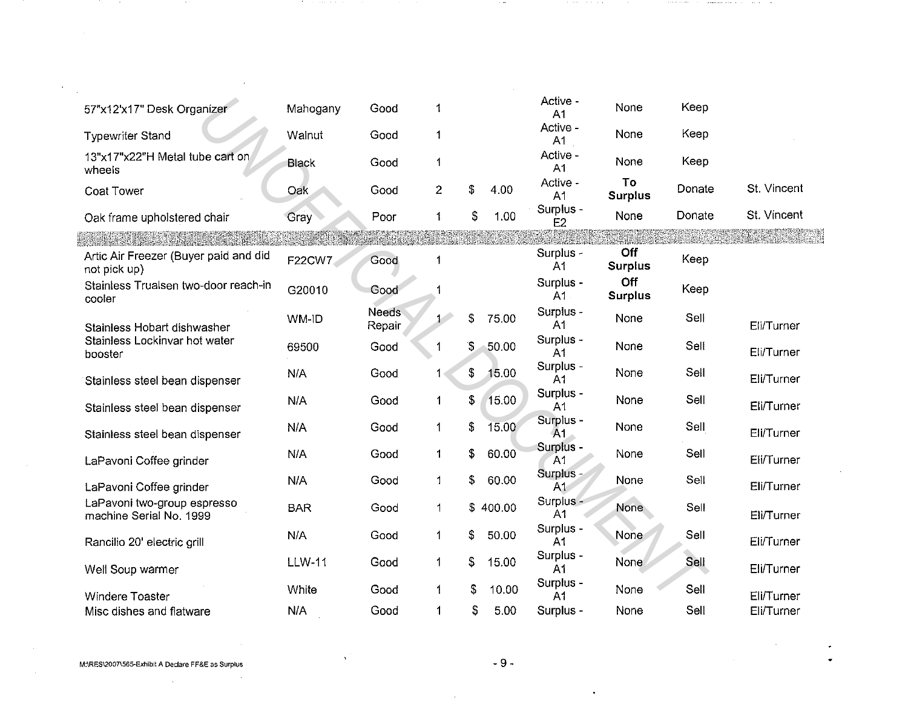| 57"x12'x17" Desk Organizer                             | Manogany      | Good                   | 1              |    |        | Active -<br>A1              | None                  | Keep   |             |
|--------------------------------------------------------|---------------|------------------------|----------------|----|--------|-----------------------------|-----------------------|--------|-------------|
| <b>Typewriter Stand</b>                                | Walnut        | Good                   | $\mathbf 1$    |    |        | Active -<br>A <sub>1</sub>  | None                  | Keep   |             |
| 13"x17"x22"H Metal tube cart on<br>wheels              | Black         | Good                   | 1              |    |        | Active -<br>A1              | None                  | Keep   |             |
| Coat Tower                                             | Oak           | Good                   | $\overline{2}$ | \$ | 4.00   | Active -<br>A <sub>1</sub>  | To<br><b>Surplus</b>  | Donate | St. Vincent |
| Oak frame upholstered chair                            | Gray          | Poor                   | 1              | \$ | 1.00   | Surplus -<br>E2             | None                  | Donate | St. Vincent |
|                                                        |               |                        |                |    |        |                             |                       |        |             |
| Artic Air Freezer (Buyer paid and did<br>not pick up)  | F22CW7.       | Good                   | 1              |    |        | Surplus -<br>A <sub>1</sub> | Off<br><b>Surplus</b> | Keep   |             |
| Stainless Trualsen two-door reach-in<br>cooler         | G20010        | Good                   |                |    |        | Surplus -<br>A1             | Off<br><b>Surplus</b> | Keep   |             |
| Stainless Hobart dishwasher                            | WM-ID         | <b>Needs</b><br>Repair | $\overline{1}$ | \$ | 75.00  | Surplus -<br>A <sub>1</sub> | None                  | Sell   | Eli/Turner  |
| Stainless Lockinvar hot water<br>booster               | 69500         | Good                   | 1              | \$ | 50.00  | Surplus -<br>A1             | None                  | Sell   | Eli/Turner  |
| Stainless steel bean dispenser                         | N/A           | Good                   | 1              | \$ | 15.00  | Surplus -<br>A1             | None                  | Sell   | Eli/Turner  |
| Stainless steel bean dispenser                         | N/A           | Good                   | 1              | \$ | 15.00  | Surplus -<br>Α1             | None                  | Sell   | Eli/Turner  |
| Stainless steel bean dispenser                         | N/A           | Good                   | 1              | \$ | 15.00  | Surplus -<br>A1             | None                  | Sell   | Eli/Turner  |
| LaPavoni Coffee grinder                                | N/A           | Good                   | 1              | \$ | 60.00  | Surplus -<br>A <sub>1</sub> | None                  | Sell   | Eli/Turner  |
| LaPavoni Coffee grinder                                | N/A           | Good                   | 1              | \$ | 60.00  | Surplus -<br>A1.            | None                  | Sell   | Eli/Turner  |
| LaPavoni two-group espresso<br>machine Serial No. 1999 | <b>BAR</b>    | Good                   | $\mathbf 1$    | £. | 400.00 | Surplus -<br>A1             | <b>None</b>           | Sell   | Eli/Turner  |
| Rancilio 20' electric grill                            | N/A           | Good                   | 1              | \$ | 50.00  | Surplus -<br>A1             | None                  | Sell   | Eli/Turner  |
| Well Soup warmer                                       | <b>LLW-11</b> | Good                   | 1              | \$ | 15.00  | Surplus -<br>A1             | None                  | Sell   | Eli/Turner  |
| <b>Windere Toaster</b>                                 | White         | Good                   | 1              | \$ | 10.00  | Surplus -<br>A1             | None                  | Sell   | Eli/Turner  |
| Misc dishes and flatware                               | N/A           | Good                   | 1              | \$ | 5.00   | Surplus -                   | None                  | Sell   | Eli/Turner  |

 $\sim$ 

 $\sim$ 

 $\bullet$  $\bullet$ 

 $\sim$ 

 $\sim$ 

 $\sim$ 

 $\cdots$ 

 $\bullet$